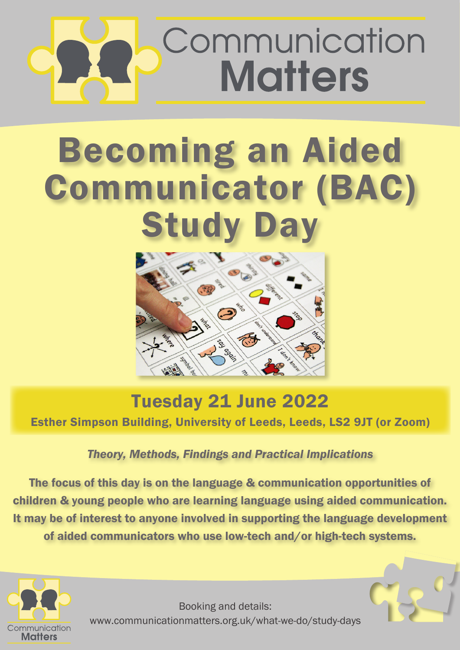# Communication **Matters**

# Becoming an Aided Communicator (BAC) Study Day



### Tuesday 21 June 2022 Esther Simpson Building, University of Leeds, Leeds, LS2 9JT (or Zoom)

#### *Theory, Methods, Findings and Practical Implications*

The focus of this day is on the language & communication opportunities of children & young people who are learning language using aided communication. It may be of interest to anyone involved in supporting the language development of aided communicators who use low-tech and/or high-tech systems.



Booking and details: www.communicationmatters.org.uk/what-we-do/study-days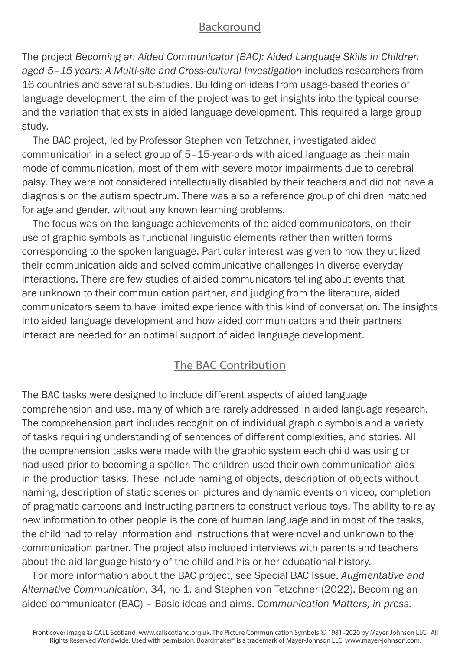#### Background

The project *Becoming an Aided Communicator (BAC): Aided Language Skills in Children aged 5–15 years: A Multi-site and Cross-cultural Investigation* includes researchers from 16 countries and several sub-studies. Building on ideas from usage-based theories of language development, the aim of the project was to get insights into the typical course and the variation that exists in aided language development. This required a large group study.

The BAC project, led by Professor Stephen von Tetzchner, investigated aided communication in a select group of 5–15-year-olds with aided language as their main mode of communication, most of them with severe motor impairments due to cerebral palsy. They were not considered intellectually disabled by their teachers and did not have a diagnosis on the autism spectrum. There was also a reference group of children matched for age and gender, without any known learning problems.

The focus was on the language achievements of the aided communicators, on their use of graphic symbols as functional linguistic elements rather than written forms corresponding to the spoken language. Particular interest was given to how they utilized their communication aids and solved communicative challenges in diverse everyday interactions. There are few studies of aided communicators telling about events that are unknown to their communication partner, and judging from the literature, aided communicators seem to have limited experience with this kind of conversation. The insights into aided language development and how aided communicators and their partners interact are needed for an optimal support of aided language development.

#### The BAC Contribution

The BAC tasks were designed to include different aspects of aided language comprehension and use, many of which are rarely addressed in aided language research. The comprehension part includes recognition of individual graphic symbols and a variety of tasks requiring understanding of sentences of different complexities, and stories. All the comprehension tasks were made with the graphic system each child was using or had used prior to becoming a speller. The children used their own communication aids in the production tasks. These include naming of objects, description of objects without naming, description of static scenes on pictures and dynamic events on video, completion of pragmatic cartoons and instructing partners to construct various toys. The ability to relay new information to other people is the core of human language and in most of the tasks, the child had to relay information and instructions that were novel and unknown to the communication partner. The project also included interviews with parents and teachers about the aid language history of the child and his or her educational history.

For more information about the BAC project, see Special BAC Issue, *Augmentative and Alternative Communication*, 34, no 1. and Stephen von Tetzchner (2022). Becoming an aided communicator (BAC) – Basic ideas and aims. *Communication Matters, in press*.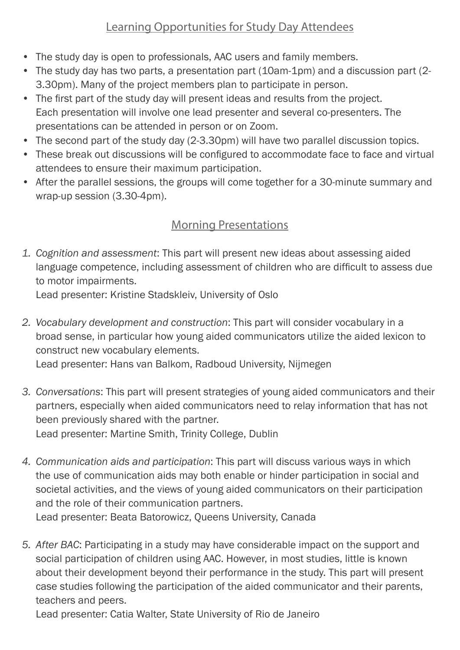#### Learning Opportunities for Study Day Attendees

- The study day is open to professionals, AAC users and family members.
- The study day has two parts, a presentation part (10am-1pm) and a discussion part (2-3.30pm). Many of the project members plan to participate in person.
- The first part of the study day will present ideas and results from the project. Each presentation will involve one lead presenter and several co-presenters. The presentations can be attended in person or on Zoom.
- The second part of the study day (2-3.30pm) will have two parallel discussion topics.
- These break out discussions will be configured to accommodate face to face and virtual attendees to ensure their maximum participation.
- After the parallel sessions, the groups will come together for a 30-minute summary and wrap-up session (3.30-4pm).

#### Morning Presentations

*1. Cognition and assessment*: This part will present new ideas about assessing aided language competence, including assessment of children who are difficult to assess due to motor impairments.

Lead presenter: Kristine Stadskleiv, University of Oslo

*2. Vocabulary development and construction*: This part will consider vocabulary in a broad sense, in particular how young aided communicators utilize the aided lexicon to construct new vocabulary elements.

Lead presenter: Hans van Balkom, Radboud University, Nijmegen

- *3. Conversations*: This part will present strategies of young aided communicators and their partners, especially when aided communicators need to relay information that has not been previously shared with the partner. Lead presenter: Martine Smith, Trinity College, Dublin
- *4. Communication aids and participation*: This part will discuss various ways in which the use of communication aids may both enable or hinder participation in social and societal activities, and the views of young aided communicators on their participation and the role of their communication partners. Lead presenter: Beata Batorowicz, Queens University, Canada
- *5. After BAC*: Participating in a study may have considerable impact on the support and social participation of children using AAC. However, in most studies, little is known about their development beyond their performance in the study. This part will present case studies following the participation of the aided communicator and their parents, teachers and peers.

Lead presenter: Catia Walter, State University of Rio de Janeiro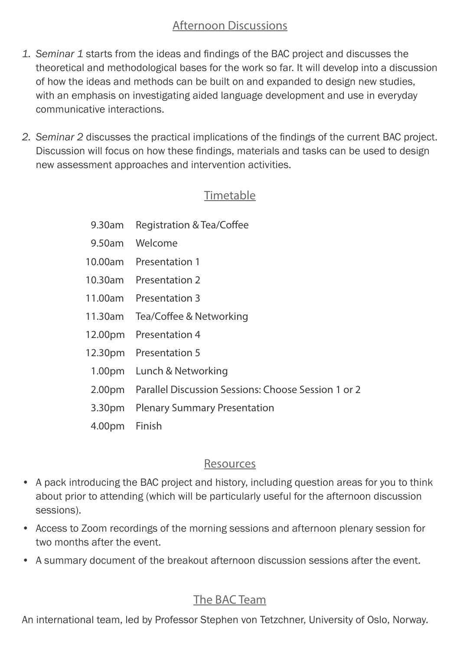#### Afternoon Discussions

- *1. Seminar 1* starts from the ideas and findings of the BAC project and discusses the theoretical and methodological bases for the work so far. It will develop into a discussion of how the ideas and methods can be built on and expanded to design new studies, with an emphasis on investigating aided language development and use in everyday communicative interactions.
- *2. Seminar 2* discusses the practical implications of the findings of the current BAC project. Discussion will focus on how these findings, materials and tasks can be used to design new assessment approaches and intervention activities.

#### Timetable

- 9.30am Registration & Tea/Coffee
- 9.50am Welcome
- 10.00am Presentation 1
- 10.30am Presentation 2
- 11.00am Presentation 3
- 11.30am Tea/Coffee & Networking
- 12.00pm Presentation 4
- 12.30pm Presentation 5
- 1.00pm Lunch & Networking
- 2.00pm Parallel Discussion Sessions: Choose Session 1 or 2
- 3.30pm Plenary Summary Presentation
- 4.00pm Finish

#### Resources

- A pack introducing the BAC project and history, including question areas for you to think about prior to attending (which will be particularly useful for the afternoon discussion sessions).
- Access to Zoom recordings of the morning sessions and afternoon plenary session for two months after the event.
- A summary document of the breakout afternoon discussion sessions after the event.

#### The BAC Team

An international team, led by Professor Stephen von Tetzchner, University of Oslo, Norway.